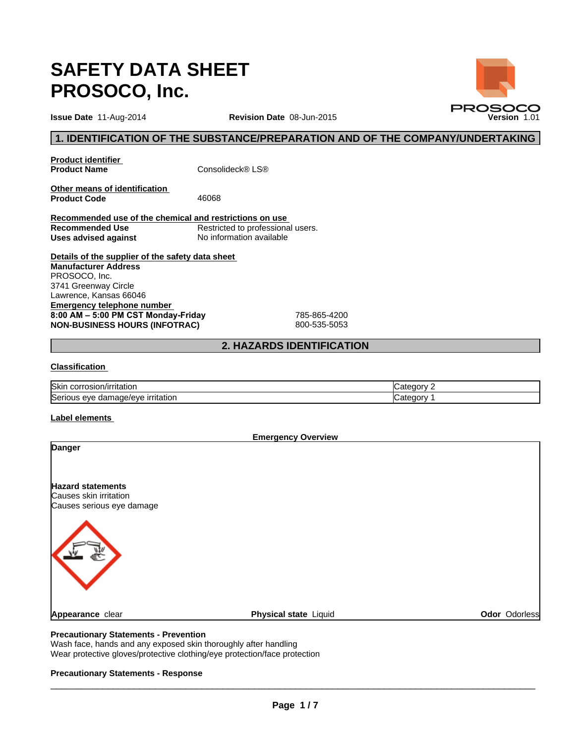# **SAFETY DATA SHEET PROSOCO, Inc.**

**Issue Date 11-Aug-2014 Version Date 08-Jun-2015 Version 1.01 Version 1.01 Revision Date** 08-Jun-2015

# **1. IDENTIFICATION OF THE SUBSTANCE/PREPARATION AND OF THE COMPANY/UNDERTAKING**

**Product identifier<br>Product Name** 

**Consolideck® LS®** 

**Other means of identification**  Product Code 46068

**Recommended use of the chemical and restrictions on use Recommended Use** Restricted to professional users.<br> **Uses advised against** No information available **Uses advised against** 

**Details of the supplier of the safety data sheet Emergency telephone number**  8:00 AM - 5:00 PM CST Monday-Friday 785-865-4200 **NON-BUSINESS HOURS (INFOTRAC)** 800-535-5053 **Manufacturer Address** PROSOCO, Inc. 3741 Greenway Circle Lawrence, Kansas 66046

# **2. HAZARDS IDENTIFICATION**

# **Classification**

| <b>Skin</b><br>n/irritation<br>corros<br>.osion:             | .are<br>ാസ -  |
|--------------------------------------------------------------|---------------|
| Seriou<br><b>Irritation</b><br>eve<br>mage/eve<br>aar<br>$-$ | .ate<br>∴aorv |

# **Label elements**

| Danger<br><b>Hazard statements</b>        |               |
|-------------------------------------------|---------------|
|                                           |               |
| Causes skin irritation                    |               |
| Causes serious eye damage                 |               |
|                                           |               |
| Physical state Liquid<br>Appearance clear | Odor Odorless |

# **Precautionary Statements - Prevention**

Wash face, hands and any exposed skin thoroughly after handling Wear protective gloves/protective clothing/eye protection/face protection

# **Precautionary Statements - Response**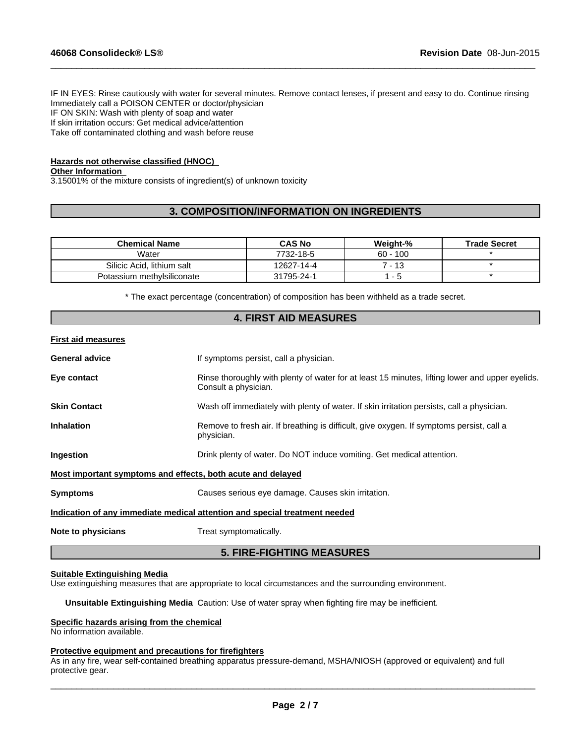IF IN EYES: Rinse cautiously with water for several minutes. Remove contact lenses, if present and easy to do. Continue rinsing Immediately call a POISON CENTER or doctor/physician IF ON SKIN: Wash with plenty of soap and water If skin irritation occurs: Get medical advice/attention Take off contaminated clothing and wash before reuse

 $\_$  ,  $\_$  ,  $\_$  ,  $\_$  ,  $\_$  ,  $\_$  ,  $\_$  ,  $\_$  ,  $\_$  ,  $\_$  ,  $\_$  ,  $\_$  ,  $\_$  ,  $\_$  ,  $\_$  ,  $\_$  ,  $\_$  ,  $\_$  ,  $\_$  ,  $\_$  ,  $\_$  ,  $\_$  ,  $\_$  ,  $\_$  ,  $\_$  ,  $\_$  ,  $\_$  ,  $\_$  ,  $\_$  ,  $\_$  ,  $\_$  ,  $\_$  ,  $\_$  ,  $\_$  ,  $\_$  ,  $\_$  ,  $\_$  ,

# **Hazards not otherwise classified (HNOC)**

# **Other Information**

3.15001% of the mixture consists of ingredient(s) of unknown toxicity

# **3. COMPOSITION/INFORMATION ON INGREDIENTS**

| <b>Chemical Name</b>       | <b>CAS No</b> | Weight-%   | <b>Trade Secret</b> |
|----------------------------|---------------|------------|---------------------|
| Water                      | 7732-18-5     | $60 - 100$ |                     |
| Silicic Acid. lithium salt | 12627-14-4    | ' - 13     |                     |
| Potassium methylsiliconate | 31795-24-1    |            |                     |

\* The exact percentage (concentration) of composition has been withheld as a trade secret.

|                           | <b>4. FIRST AID MEASURES</b>                                                                                            |
|---------------------------|-------------------------------------------------------------------------------------------------------------------------|
| <b>First aid measures</b> |                                                                                                                         |
| <b>General advice</b>     | If symptoms persist, call a physician.                                                                                  |
| Eye contact               | Rinse thoroughly with plenty of water for at least 15 minutes, lifting lower and upper eyelids.<br>Consult a physician. |
| <b>Skin Contact</b>       | Wash off immediately with plenty of water. If skin irritation persists, call a physician.                               |
| <b>Inhalation</b>         | Remove to fresh air. If breathing is difficult, give oxygen. If symptoms persist, call a<br>physician.                  |
| Ingestion                 | Drink plenty of water. Do NOT induce vomiting. Get medical attention.                                                   |
|                           | Most important symptoms and effects, both acute and delayed                                                             |
| <b>Symptoms</b>           | Causes serious eye damage. Causes skin irritation.                                                                      |
|                           | Indication of any immediate medical attention and special treatment needed                                              |
| Note to physicians        | Treat symptomatically.                                                                                                  |
|                           | <b>5. FIRE-FIGHTING MEASURES</b>                                                                                        |

#### **Suitable Extinguishing Media**

Use extinguishing measures that are appropriate to local circumstances and the surrounding environment.

**Unsuitable Extinguishing Media** Caution: Use of water spray when fighting fire may be inefficient.

#### **Specific hazards arising from the chemical**

No information available.

#### **Protective equipment and precautions for firefighters**

As in any fire, wear self-contained breathing apparatus pressure-demand, MSHA/NIOSH (approved or equivalent) and full protective gear.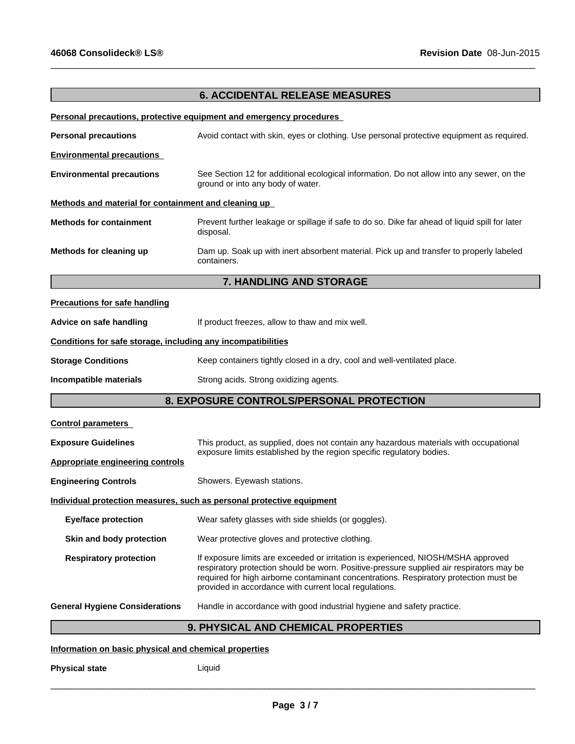# **6. ACCIDENTAL RELEASE MEASURES**

 $\_$  ,  $\_$  ,  $\_$  ,  $\_$  ,  $\_$  ,  $\_$  ,  $\_$  ,  $\_$  ,  $\_$  ,  $\_$  ,  $\_$  ,  $\_$  ,  $\_$  ,  $\_$  ,  $\_$  ,  $\_$  ,  $\_$  ,  $\_$  ,  $\_$  ,  $\_$  ,  $\_$  ,  $\_$  ,  $\_$  ,  $\_$  ,  $\_$  ,  $\_$  ,  $\_$  ,  $\_$  ,  $\_$  ,  $\_$  ,  $\_$  ,  $\_$  ,  $\_$  ,  $\_$  ,  $\_$  ,  $\_$  ,  $\_$  ,

# **Personal precautions, protective equipment and emergency procedures**

| <b>Personal precautions</b>                                  | Avoid contact with skin, eyes or clothing. Use personal protective equipment as required.                                                                                                                                                                                                                                        |
|--------------------------------------------------------------|----------------------------------------------------------------------------------------------------------------------------------------------------------------------------------------------------------------------------------------------------------------------------------------------------------------------------------|
| <b>Environmental precautions</b>                             |                                                                                                                                                                                                                                                                                                                                  |
| <b>Environmental precautions</b>                             | See Section 12 for additional ecological information. Do not allow into any sewer, on the<br>ground or into any body of water.                                                                                                                                                                                                   |
| Methods and material for containment and cleaning up         |                                                                                                                                                                                                                                                                                                                                  |
| <b>Methods for containment</b>                               | Prevent further leakage or spillage if safe to do so. Dike far ahead of liquid spill for later<br>disposal.                                                                                                                                                                                                                      |
| Methods for cleaning up                                      | Dam up. Soak up with inert absorbent material. Pick up and transfer to properly labeled<br>containers.                                                                                                                                                                                                                           |
|                                                              | 7. HANDLING AND STORAGE                                                                                                                                                                                                                                                                                                          |
| <b>Precautions for safe handling</b>                         |                                                                                                                                                                                                                                                                                                                                  |
| Advice on safe handling                                      | If product freezes, allow to thaw and mix well.                                                                                                                                                                                                                                                                                  |
| Conditions for safe storage, including any incompatibilities |                                                                                                                                                                                                                                                                                                                                  |
| <b>Storage Conditions</b>                                    | Keep containers tightly closed in a dry, cool and well-ventilated place.                                                                                                                                                                                                                                                         |
| Incompatible materials                                       | Strong acids. Strong oxidizing agents.                                                                                                                                                                                                                                                                                           |
|                                                              | 8. EXPOSURE CONTROLS/PERSONAL PROTECTION                                                                                                                                                                                                                                                                                         |
| <b>Control parameters</b>                                    |                                                                                                                                                                                                                                                                                                                                  |
| <b>Exposure Guidelines</b>                                   | This product, as supplied, does not contain any hazardous materials with occupational                                                                                                                                                                                                                                            |
| <b>Appropriate engineering controls</b>                      | exposure limits established by the region specific regulatory bodies.                                                                                                                                                                                                                                                            |
| <b>Engineering Controls</b>                                  | Showers. Eyewash stations.                                                                                                                                                                                                                                                                                                       |
|                                                              | Individual protection measures, such as personal protective equipment                                                                                                                                                                                                                                                            |
| <b>Eye/face protection</b>                                   | Wear safety glasses with side shields (or goggles).                                                                                                                                                                                                                                                                              |
| Skin and body protection                                     | Wear protective gloves and protective clothing.                                                                                                                                                                                                                                                                                  |
| <b>Respiratory protection</b>                                | If exposure limits are exceeded or irritation is experienced, NIOSH/MSHA approved<br>respiratory protection should be worn. Positive-pressure supplied air respirators may be<br>required for high airborne contaminant concentrations. Respiratory protection must be<br>provided in accordance with current local regulations. |
| <b>General Hygiene Considerations</b>                        | Handle in accordance with good industrial hygiene and safety practice.                                                                                                                                                                                                                                                           |
|                                                              | 9. PHYSICAL AND CHEMICAL PROPERTIES                                                                                                                                                                                                                                                                                              |

# **Information on basic physical and chemical properties**

**Physical state** Liquid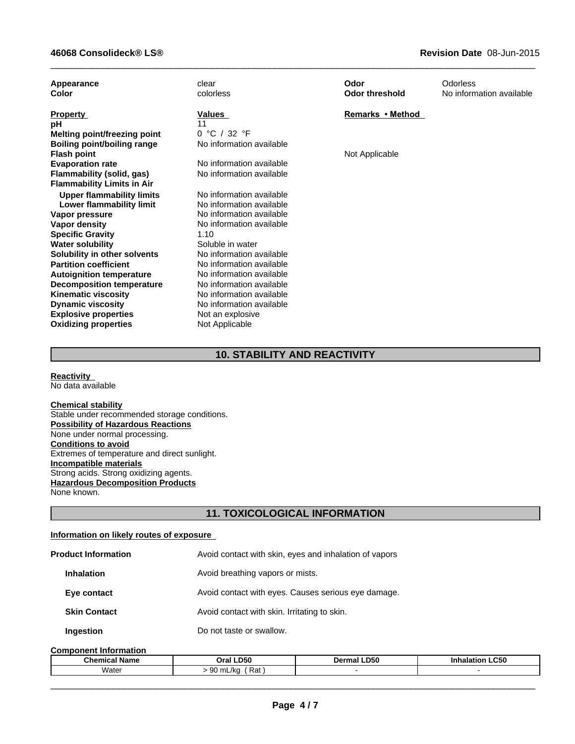| Appearance<br>Color                | clear<br>colorless       | Odor<br><b>Odor threshold</b> | Odorless<br>No information available |
|------------------------------------|--------------------------|-------------------------------|--------------------------------------|
| <b>Property</b>                    | <b>Values</b>            | Remarks • Method              |                                      |
| рH                                 | 11                       |                               |                                      |
| Melting point/freezing point       | 0 °C / 32 °F             |                               |                                      |
| <b>Boiling point/boiling range</b> | No information available |                               |                                      |
| <b>Flash point</b>                 |                          | Not Applicable                |                                      |
| <b>Evaporation rate</b>            | No information available |                               |                                      |
| Flammability (solid, gas)          | No information available |                               |                                      |
| <b>Flammability Limits in Air</b>  |                          |                               |                                      |
| <b>Upper flammability limits</b>   | No information available |                               |                                      |
| Lower flammability limit           | No information available |                               |                                      |
| Vapor pressure                     | No information available |                               |                                      |
| Vapor density                      | No information available |                               |                                      |
| <b>Specific Gravity</b>            | 1.10                     |                               |                                      |
| <b>Water solubility</b>            | Soluble in water         |                               |                                      |
| Solubility in other solvents       | No information available |                               |                                      |
| <b>Partition coefficient</b>       | No information available |                               |                                      |
| <b>Autoignition temperature</b>    | No information available |                               |                                      |
| <b>Decomposition temperature</b>   | No information available |                               |                                      |
| <b>Kinematic viscosity</b>         | No information available |                               |                                      |
| <b>Dynamic viscosity</b>           | No information available |                               |                                      |
| <b>Explosive properties</b>        | Not an explosive         |                               |                                      |
| <b>Oxidizing properties</b>        | Not Applicable           |                               |                                      |

 $\_$  ,  $\_$  ,  $\_$  ,  $\_$  ,  $\_$  ,  $\_$  ,  $\_$  ,  $\_$  ,  $\_$  ,  $\_$  ,  $\_$  ,  $\_$  ,  $\_$  ,  $\_$  ,  $\_$  ,  $\_$  ,  $\_$  ,  $\_$  ,  $\_$  ,  $\_$  ,  $\_$  ,  $\_$  ,  $\_$  ,  $\_$  ,  $\_$  ,  $\_$  ,  $\_$  ,  $\_$  ,  $\_$  ,  $\_$  ,  $\_$  ,  $\_$  ,  $\_$  ,  $\_$  ,  $\_$  ,  $\_$  ,  $\_$  ,

# **10. STABILITY AND REACTIVITY**

**Reactivity**  No data available

# **Chemical stability**

Stable under recommended storage conditions. **Possibility of Hazardous Reactions** None under normal processing. **Conditions to avoid** Extremes of temperature and direct sunlight. **Incompatible materials** Strong acids. Strong oxidizing agents. **Hazardous Decomposition Products** None known.

# **11. TOXICOLOGICAL INFORMATION**

#### **Information on likely routes of exposure**

| <b>Product Information</b> | Avoid contact with skin, eyes and inhalation of vapors |
|----------------------------|--------------------------------------------------------|
| <b>Inhalation</b>          | Avoid breathing vapors or mists.                       |
| Eye contact                | Avoid contact with eyes. Causes serious eye damage.    |
| <b>Skin Contact</b>        | Avoid contact with skin. Irritating to skin.           |
| Ingestion                  | Do not taste or swallow.                               |

#### **Component Information**

| m.<br>∣Name<br>emical<br>une- | LD50<br>Oral                                         | <b>.D50</b><br>тван<br>JU .<br>the contract of the contract of the contract of the contract of the contract of the contract of the contract of | <b>LC50</b><br>Inh. |
|-------------------------------|------------------------------------------------------|------------------------------------------------------------------------------------------------------------------------------------------------|---------------------|
| Water                         | $\sim$<br><u>.</u><br>mL/kc<br>. .<br>πaι<br>$\cdot$ |                                                                                                                                                |                     |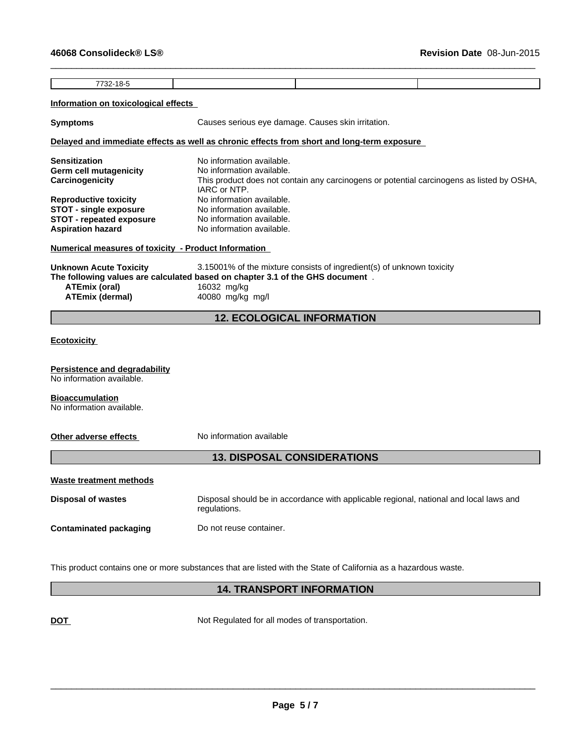7732-18-5

 $\_$  ,  $\_$  ,  $\_$  ,  $\_$  ,  $\_$  ,  $\_$  ,  $\_$  ,  $\_$  ,  $\_$  ,  $\_$  ,  $\_$  ,  $\_$  ,  $\_$  ,  $\_$  ,  $\_$  ,  $\_$  ,  $\_$  ,  $\_$  ,  $\_$  ,  $\_$  ,  $\_$  ,  $\_$  ,  $\_$  ,  $\_$  ,  $\_$  ,  $\_$  ,  $\_$  ,  $\_$  ,  $\_$  ,  $\_$  ,  $\_$  ,  $\_$  ,  $\_$  ,  $\_$  ,  $\_$  ,  $\_$  ,  $\_$  ,

# **Information on toxicological effects**

**Symptoms** Causes serious eye damage. Causes skin irritation.

# **Delayed and immediate effects as well as chronic effects from short and long-term exposure**

| <b>Sensitization</b>            | No information available.                                                                 |
|---------------------------------|-------------------------------------------------------------------------------------------|
| <b>Germ cell mutagenicity</b>   | No information available.                                                                 |
| Carcinogenicity                 | This product does not contain any carcinogens or potential carcinogens as listed by OSHA, |
|                                 | IARC or NTP.                                                                              |
| <b>Reproductive toxicity</b>    | No information available.                                                                 |
| <b>STOT - single exposure</b>   | No information available.                                                                 |
| <b>STOT</b> - repeated exposure | No information available.                                                                 |
| <b>Aspiration hazard</b>        | No information available.                                                                 |

# **Numerical measures of toxicity - Product Information**

| Unknown Acute Toxicity | 3.15001% of the mixture consists of ingredient(s) of unknown toxicity         |
|------------------------|-------------------------------------------------------------------------------|
|                        | The following values are calculated based on chapter 3.1 of the GHS document. |
| ATEmix (oral)          | 16032 mg/kg                                                                   |
| ATEmix (dermal)        | 40080 mg/kg mg/l                                                              |

# **12. ECOLOGICAL INFORMATION**

# **Ecotoxicity**

#### **Persistence and degradability**

No information available.

# **Bioaccumulation**

No information available.

**Other adverse effects** No information available

# **13. DISPOSAL CONSIDERATIONS**

# **Waste treatment methods**

**Disposal of wastes** Disposal should be in accordance with applicable regional, national and local laws and regulations. **Contaminated packaging Do not reuse container.** 

This product contains one or more substances that are listed with the State of California as a hazardous waste.

# **14. TRANSPORT INFORMATION**

**DOT** Not Regulated for all modes of transportation.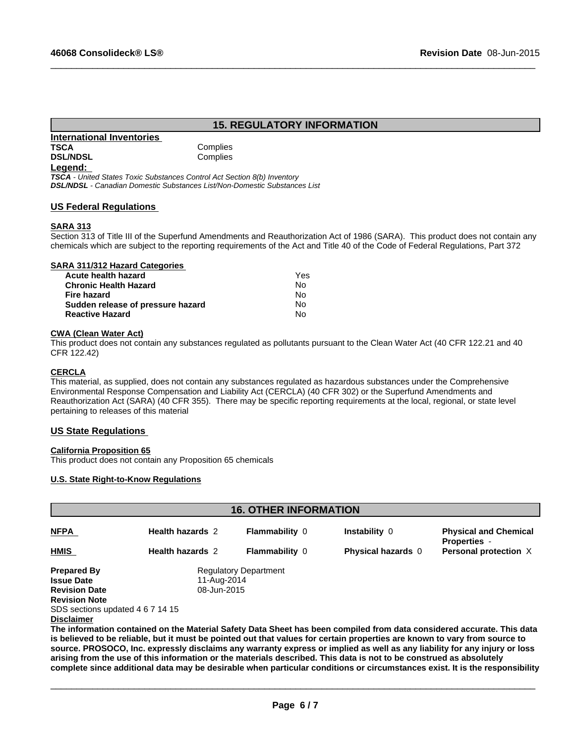# **15. REGULATORY INFORMATION**

 $\_$  ,  $\_$  ,  $\_$  ,  $\_$  ,  $\_$  ,  $\_$  ,  $\_$  ,  $\_$  ,  $\_$  ,  $\_$  ,  $\_$  ,  $\_$  ,  $\_$  ,  $\_$  ,  $\_$  ,  $\_$  ,  $\_$  ,  $\_$  ,  $\_$  ,  $\_$  ,  $\_$  ,  $\_$  ,  $\_$  ,  $\_$  ,  $\_$  ,  $\_$  ,  $\_$  ,  $\_$  ,  $\_$  ,  $\_$  ,  $\_$  ,  $\_$  ,  $\_$  ,  $\_$  ,  $\_$  ,  $\_$  ,  $\_$  ,

# **International Inventories TSCA** Complies **DSL/NDSL** Complies

#### **Legend:**

*TSCA - United States Toxic Substances Control Act Section 8(b) Inventory DSL/NDSL - Canadian Domestic Substances List/Non-Domestic Substances List*

# **US Federal Regulations**

# **SARA 313**

Section 313 of Title III of the Superfund Amendments and Reauthorization Act of 1986 (SARA). This product does not contain any chemicals which are subject to the reporting requirements of the Act and Title 40 of the Code of Federal Regulations, Part 372

#### **SARA 311/312 Hazard Categories Acute health hazard** Yes

| Acute Health Hazard               | .  |
|-----------------------------------|----|
| <b>Chronic Health Hazard</b>      | N٥ |
| Fire hazard                       | N٥ |
| Sudden release of pressure hazard | N٥ |
| <b>Reactive Hazard</b>            | N٥ |
|                                   |    |

# **CWA (Clean Water Act)**

This product does not contain any substances regulated as pollutants pursuant to the Clean Water Act (40 CFR 122.21 and 40 CFR 122.42)

# **CERCLA**

This material, as supplied, does not contain any substances regulated as hazardous substances under the Comprehensive Environmental Response Compensation and Liability Act (CERCLA) (40 CFR 302) or the Superfund Amendments and Reauthorization Act (SARA) (40 CFR 355). There may be specific reporting requirements at the local, regional, or state level pertaining to releases of this material

# **US State Regulations**

# **California Proposition 65**

This product does not contain any Proposition 65 chemicals

# **U.S. State Right-to-Know Regulations**

| <b>16. OTHER INFORMATION</b>     |                         |                              |                                                                                                                                                                                                                                                     |                                                     |  |  |
|----------------------------------|-------------------------|------------------------------|-----------------------------------------------------------------------------------------------------------------------------------------------------------------------------------------------------------------------------------------------------|-----------------------------------------------------|--|--|
| <b>NFPA</b>                      | <b>Health hazards 2</b> | <b>Flammability 0</b>        | <b>Instability 0</b>                                                                                                                                                                                                                                | <b>Physical and Chemical</b><br><b>Properties -</b> |  |  |
| <b>HMIS</b>                      | <b>Health hazards 2</b> | <b>Flammability 0</b>        | <b>Physical hazards</b> 0                                                                                                                                                                                                                           | Personal protection X                               |  |  |
| <b>Prepared By</b>               |                         | <b>Regulatory Department</b> |                                                                                                                                                                                                                                                     |                                                     |  |  |
| <b>Issue Date</b>                | 11-Aug-2014             |                              |                                                                                                                                                                                                                                                     |                                                     |  |  |
| <b>Revision Date</b>             | 08-Jun-2015             |                              |                                                                                                                                                                                                                                                     |                                                     |  |  |
| <b>Revision Note</b>             |                         |                              |                                                                                                                                                                                                                                                     |                                                     |  |  |
| SDS sections updated 4 6 7 14 15 |                         |                              |                                                                                                                                                                                                                                                     |                                                     |  |  |
| <b>Disclaimer</b>                |                         |                              |                                                                                                                                                                                                                                                     |                                                     |  |  |
|                                  |                         |                              | The information contained on the Material Safety Data Sheet has been compiled from data considered accurate. This data<br>is helieved to be reliable but it must be nointed out that values for certain properties are known to vary from source to |                                                     |  |  |

**is believed to be reliable, but it must be pointed out that values for certain properties are known to vary from source to source. PROSOCO, Inc. expressly disclaims any warranty express or implied as well as any liability for any injury or loss arising from the use of this information or the materials described. This data is not to be construed as absolutely complete since additional data may be desirable when particular conditions or circumstances exist. It is the responsibility**